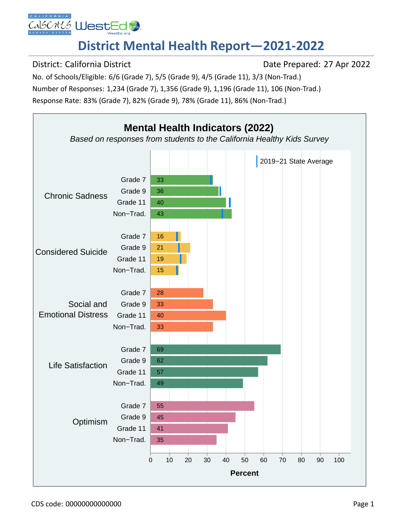**SCALS** WestEd

## **District Mental Health Report—2021‐2022**

District: California District **District Date Prepared: 27 Apr 2022** 

No. of Schools/Eligible: 6/6 (Grade 7), 5/5 (Grade 9), 4/5 (Grade 11), 3/3 (Non‐Trad.) Number of Responses: 1,234 (Grade 7), 1,356 (Grade 9), 1,196 (Grade 11), 106 (Non‐Trad.) Response Rate: 83% (Grade 7), 82% (Grade 9), 78% (Grade 11), 86% (Non‐Trad.)

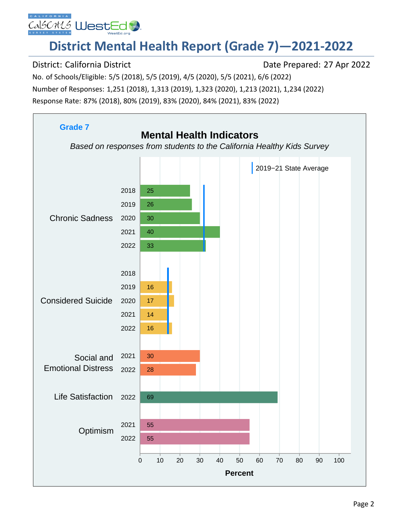# **District Mental Health Report (Grade 7)—2021‐2022**

### District: California District **District Date Prepared: 27 Apr 2022**

No. of Schools/Eligible: 5/5 (2018), 5/5 (2019), 4/5 (2020), 5/5 (2021), 6/6 (2022) Number of Responses: 1,251 (2018), 1,313 (2019), 1,323 (2020), 1,213 (2021), 1,234 (2022) Response Rate: 87% (2018), 80% (2019), 83% (2020), 84% (2021), 83% (2022)

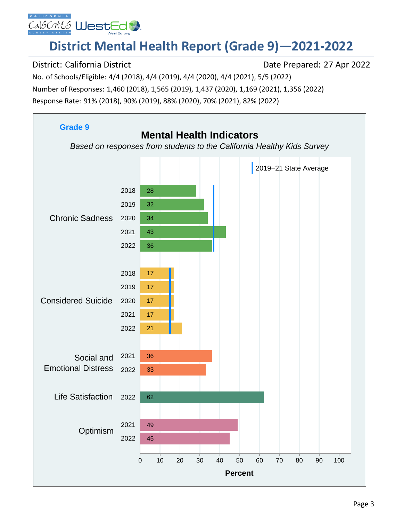# **District Mental Health Report (Grade 9)—2021‐2022**

District: California District **District Date Prepared: 27 Apr 2022** 

No. of Schools/Eligible: 4/4 (2018), 4/4 (2019), 4/4 (2020), 4/4 (2021), 5/5 (2022) Number of Responses: 1,460 (2018), 1,565 (2019), 1,437 (2020), 1,169 (2021), 1,356 (2022) Response Rate: 91% (2018), 90% (2019), 88% (2020), 70% (2021), 82% (2022)

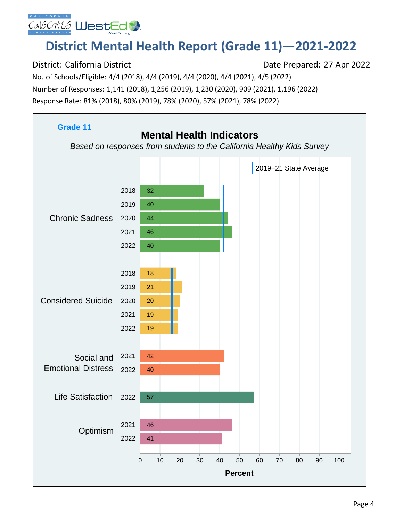# **District Mental Health Report (Grade 11)—2021‐2022**

District: California District **District Date Prepared: 27 Apr 2022** 

No. of Schools/Eligible: 4/4 (2018), 4/4 (2019), 4/4 (2020), 4/4 (2021), 4/5 (2022) Number of Responses: 1,141 (2018), 1,256 (2019), 1,230 (2020), 909 (2021), 1,196 (2022) Response Rate: 81% (2018), 80% (2019), 78% (2020), 57% (2021), 78% (2022)

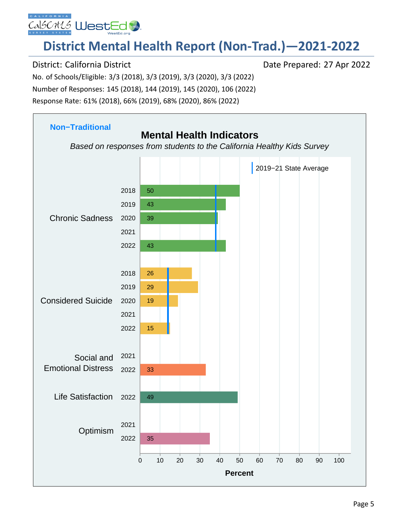## **District Mental Health Report (Non‐Trad.)—2021‐2022**

No. of Schools/Eligible: 3/3 (2018), 3/3 (2019), 3/3 (2020), 3/3 (2022) Number of Responses: 145 (2018), 144 (2019), 145 (2020), 106 (2022) Response Rate: 61% (2018), 66% (2019), 68% (2020), 86% (2022)

District: California District **District Date Prepared: 27 Apr 2022** 

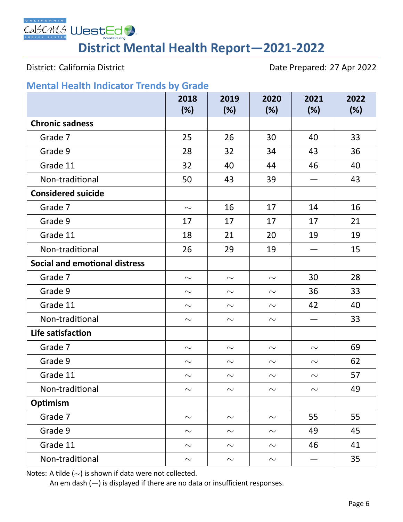ALIFORNIA CalsCatLs WestEd

**District Mental Health Report—2021‐2022**

District: California District **Date Prepared: 27 Apr 2022** 

### **Mental Health Indicator Trends by Grade**

|                                      | 2018<br>(%) | 2019<br>(%) | 2020<br>(%) | 2021<br>(%)       | 2022<br>(%) |
|--------------------------------------|-------------|-------------|-------------|-------------------|-------------|
| <b>Chronic sadness</b>               |             |             |             |                   |             |
| Grade 7                              | 25          | 26          | 30          | 40                | 33          |
| Grade 9                              | 28          | 32          | 34          | 43                | 36          |
| Grade 11                             | 32          | 40          | 44          | 46                | 40          |
| Non-traditional                      | 50          | 43          | 39          | $\hspace{0.05cm}$ | 43          |
| <b>Considered suicide</b>            |             |             |             |                   |             |
| Grade 7                              | $\sim$      | 16          | 17          | 14                | 16          |
| Grade 9                              | 17          | 17          | 17          | 17                | 21          |
| Grade 11                             | 18          | 21          | 20          | 19                | 19          |
| Non-traditional                      | 26          | 29          | 19          |                   | 15          |
| <b>Social and emotional distress</b> |             |             |             |                   |             |
| Grade 7                              | $\sim$      | $\sim$      | $\sim$      | 30                | 28          |
| Grade 9                              | $\sim$      | $\sim$      | $\sim$      | 36                | 33          |
| Grade 11                             | $\sim$      | $\sim$      | $\sim$      | 42                | 40          |
| Non-traditional                      | $\sim$      | $\sim$      | $\sim$      |                   | 33          |
| Life satisfaction                    |             |             |             |                   |             |
| Grade 7                              | $\sim$      | $\sim$      | $\sim$      | $\sim$            | 69          |
| Grade 9                              | $\sim$      | $\sim$      | $\sim$      | $\sim$            | 62          |
| Grade 11                             | $\sim$      | $\sim$      | $\sim$      | $\sim$            | 57          |
| Non-traditional                      | $\sim$      | $\sim$      | $\sim$      | $\sim$            | 49          |
| Optimism                             |             |             |             |                   |             |
| Grade 7                              | $\sim$      | $\sim$      | $\sim$      | 55                | 55          |
| Grade 9                              | $\sim$      | $\sim$      | $\sim$      | 49                | 45          |
| Grade 11                             | $\sim$      | $\sim$      | $\sim$      | 46                | 41          |
| Non-traditional                      | $\sim$      | $\sim$      | $\sim$      |                   | 35          |

Notes: A tilde (*∼*) is shown if data were not collected.

An em dash (—) is displayed if there are no data or insufficient responses.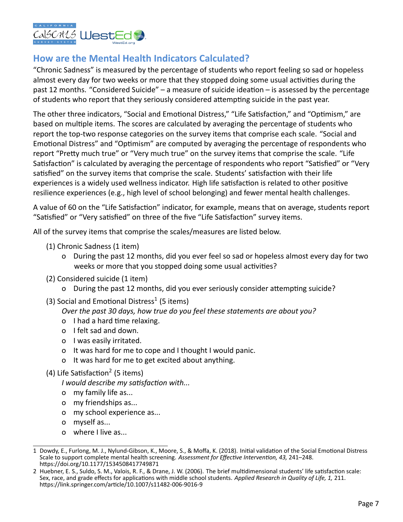

### **How are the Mental Health Indicators Calculated?**

"Chronic Sadness" is measured by the percentage of students who report feeling so sad or hopeless almost every day for two weeks or more that they stopped doing some usual activities during the past 12 months. "Considered Suicide" – a measure of suicide ideation – is assessed by the percentage of students who report that they seriously considered attempting suicide in the past year.

The other three indicators, "Social and Emotional Distress," "Life Satisfaction," and "Optimism," are based on multiple items. The scores are calculated by averaging the percentage of students who report the top-two response categories on the survey items that comprise each scale. "Social and Emotional Distress" and "Optimism" are computed by averaging the percentage of respondents who report "Pretty much true" or "Very much true" on the survey items that comprise the scale. "Life Satisfaction" is calculated by averaging the percentage of respondents who report "Satisfied" or "Very satisfied" on the survey items that comprise the scale. Students' satisfaction with their life experiences is a widely used wellness indicator. High life satisfaction is related to other positive resilience experiences (e.g., high level of school belonging) and fewer mental health challenges.

A value of 60 on the "Life Satisfaction" indicator, for example, means that on average, students report "Satisfied" or "Very satisfied" on three of the five "Life Satisfaction" survey items.

All of the survey items that comprise the scales/measures are listed below.

- (1) Chronic Sadness (1 item)
	- o During the past 12 months, did you ever feel so sad or hopeless almost every day for two weeks or more that you stopped doing some usual activities?
- (2) Considered suicide (1 item)
	- o During the past 12 months, did you ever seriously consider attempting suicide?
- (3) Social and Emotional Distress<sup>[1](#page-6-0)</sup> (5 items)

*Over the past 30 days, how true do you feel these statements are about you?*

- o I had a hard time relaxing.
- o I felt sad and down.
- o I was easily irritated.
- o It was hard for me to cope and I thought I would panic.
- o It was hard for me to get excited about anything.
- (4) Life Satisfaction<sup>[2](#page-6-1)</sup> (5 items)

*I would describe my satisfaction with...*

- o my family life as...
- o my friendships as...
- o my school experience as...
- o myself as...
- o where I live as...

<span id="page-6-0"></span><sup>1</sup> Dowdy, E., Furlong, M. J., Nylund‐Gibson, K., Moore, S., & Moffa, K. (2018). Initial validation of the Social Emotional Distress Scale to support complete mental health screening. *Assessment for Effective Intervention, 43,* 241–248. <https://doi.org/10.1177/1534508417749871>

<span id="page-6-1"></span><sup>2</sup> Huebner, E. S., Suldo, S. M., Valois, R. F., & Drane, J. W. (2006). The brief multidimensional students' life satisfaction scale: Sex, race, and grade effects for applications with middle school students. *Applied Research in Quality of Life, 1,* 211. [https://link.springer.com/article/10.1007/s11482‐006‐9016‐9](https://link.springer.com/article/10.1007/s11482-006-9016-9)